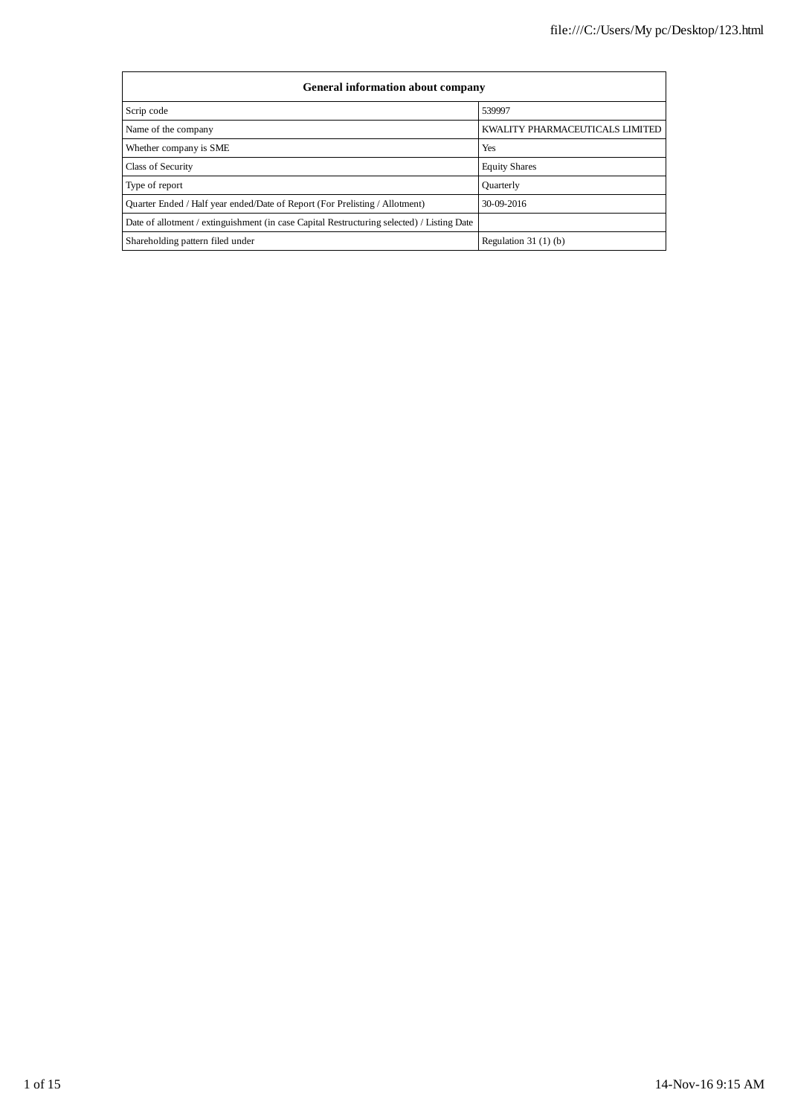| <b>General information about company</b>                                                   |                                 |  |  |  |  |  |
|--------------------------------------------------------------------------------------------|---------------------------------|--|--|--|--|--|
| Scrip code                                                                                 | 539997                          |  |  |  |  |  |
| Name of the company                                                                        | KWALITY PHARMACEUTICALS LIMITED |  |  |  |  |  |
| Whether company is SME                                                                     | Yes                             |  |  |  |  |  |
| Class of Security                                                                          | <b>Equity Shares</b>            |  |  |  |  |  |
| Type of report                                                                             | <b>Ouarterly</b>                |  |  |  |  |  |
| Quarter Ended / Half year ended/Date of Report (For Prelisting / Allotment)                | 30-09-2016                      |  |  |  |  |  |
| Date of allotment / extinguishment (in case Capital Restructuring selected) / Listing Date |                                 |  |  |  |  |  |
| Shareholding pattern filed under                                                           | Regulation $31(1)(b)$           |  |  |  |  |  |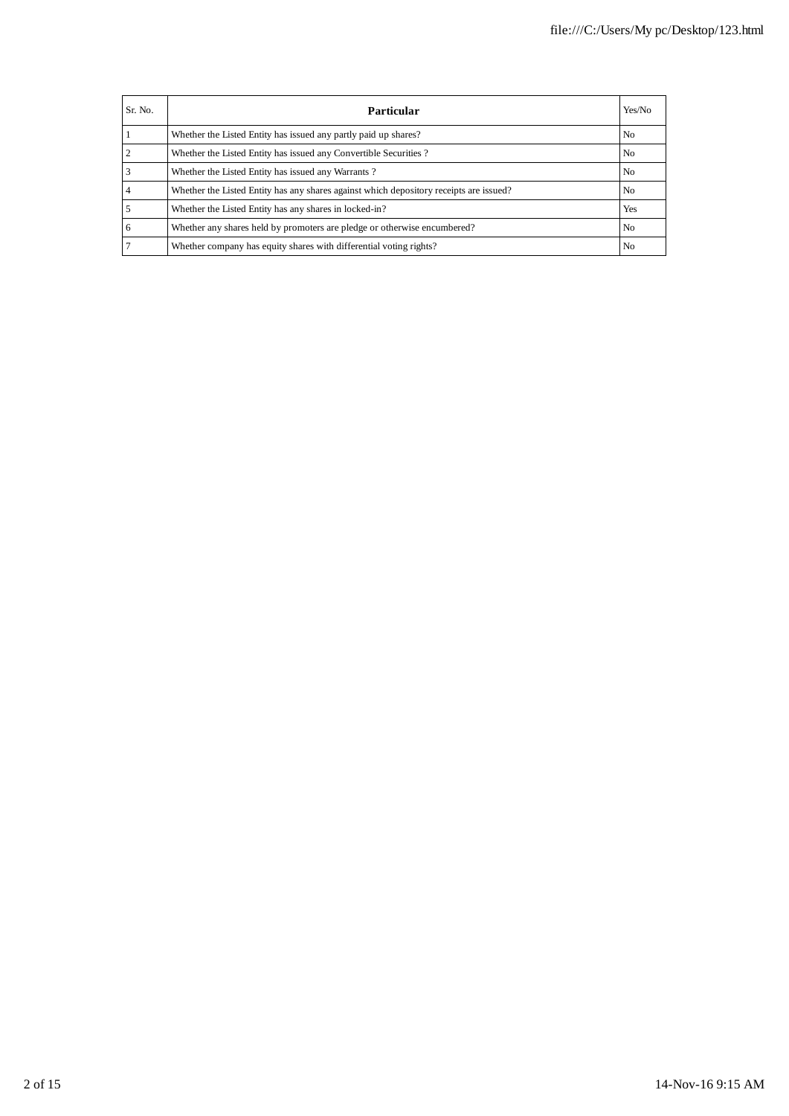| Sr. No. | Particular                                                                             | Yes/No         |
|---------|----------------------------------------------------------------------------------------|----------------|
|         | Whether the Listed Entity has issued any partly paid up shares?                        | N <sub>0</sub> |
|         | Whether the Listed Entity has issued any Convertible Securities?                       | N <sub>0</sub> |
|         | Whether the Listed Entity has issued any Warrants?                                     | N <sub>0</sub> |
|         | Whether the Listed Entity has any shares against which depository receipts are issued? | N <sub>0</sub> |
|         | Whether the Listed Entity has any shares in locked-in?                                 | <b>Yes</b>     |
| 6       | Whether any shares held by promoters are pledge or otherwise encumbered?               | N <sub>0</sub> |
|         | Whether company has equity shares with differential voting rights?                     | N <sub>0</sub> |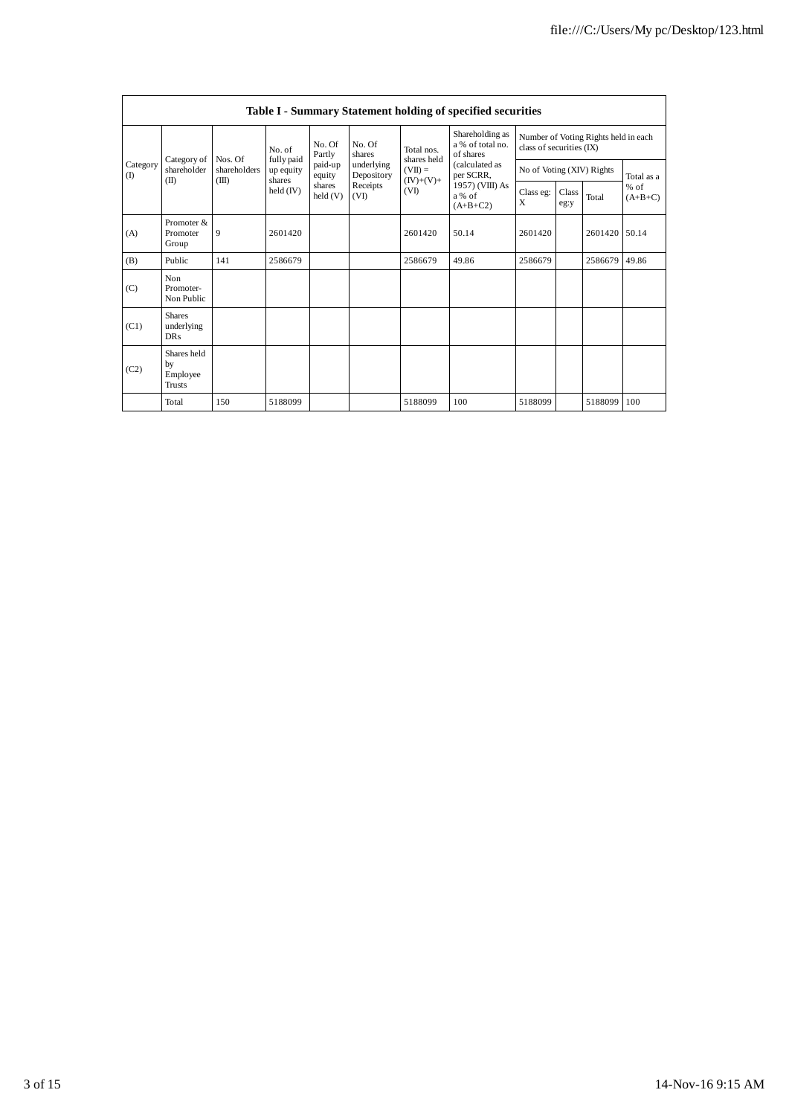|                 | Table I - Summary Statement holding of specified securities |                                  |                                   |                   |                                                                  |                                  |                                                                        |                                                                  |               |         |                     |
|-----------------|-------------------------------------------------------------|----------------------------------|-----------------------------------|-------------------|------------------------------------------------------------------|----------------------------------|------------------------------------------------------------------------|------------------------------------------------------------------|---------------|---------|---------------------|
| Category<br>(1) |                                                             | No. of                           |                                   | No. Of<br>Partly  | No. Of<br>shares<br>underlying<br>Depository<br>Receipts<br>(VI) | Total nos.<br>shares held        | Shareholding as<br>a % of total no.<br>of shares                       | Number of Voting Rights held in each<br>class of securities (IX) |               |         |                     |
|                 | Category of<br>shareholder                                  | Nos. Of<br>shareholders<br>(III) | fully paid<br>up equity<br>shares | paid-up<br>equity |                                                                  | $(VII) =$<br>$(IV)+(V)+$<br>(VI) | (calculated as<br>per SCRR,<br>1957) (VIII) As<br>a % of<br>$(A+B+C2)$ | No of Voting (XIV) Rights                                        |               |         | Total as a          |
|                 | (II)                                                        |                                  | held (IV)                         | shares<br>held(V) |                                                                  |                                  |                                                                        | Class eg:<br>X                                                   | Class<br>eg:y | Total   | $%$ of<br>$(A+B+C)$ |
| (A)             | Promoter &<br>Promoter<br>Group                             | 9                                | 2601420                           |                   |                                                                  | 2601420                          | 50.14                                                                  | 2601420                                                          |               | 2601420 | 50.14               |
| (B)             | Public                                                      | 141                              | 2586679                           |                   |                                                                  | 2586679                          | 49.86                                                                  | 2586679                                                          |               | 2586679 | 49.86               |
| (C)             | Non<br>Promoter-<br>Non Public                              |                                  |                                   |                   |                                                                  |                                  |                                                                        |                                                                  |               |         |                     |
| (C1)            | <b>Shares</b><br>underlying<br><b>DRs</b>                   |                                  |                                   |                   |                                                                  |                                  |                                                                        |                                                                  |               |         |                     |
| (C2)            | Shares held<br>by<br>Employee<br>Trusts                     |                                  |                                   |                   |                                                                  |                                  |                                                                        |                                                                  |               |         |                     |
|                 | Total                                                       | 150                              | 5188099                           |                   |                                                                  | 5188099                          | 100                                                                    | 5188099                                                          |               | 5188099 | 100                 |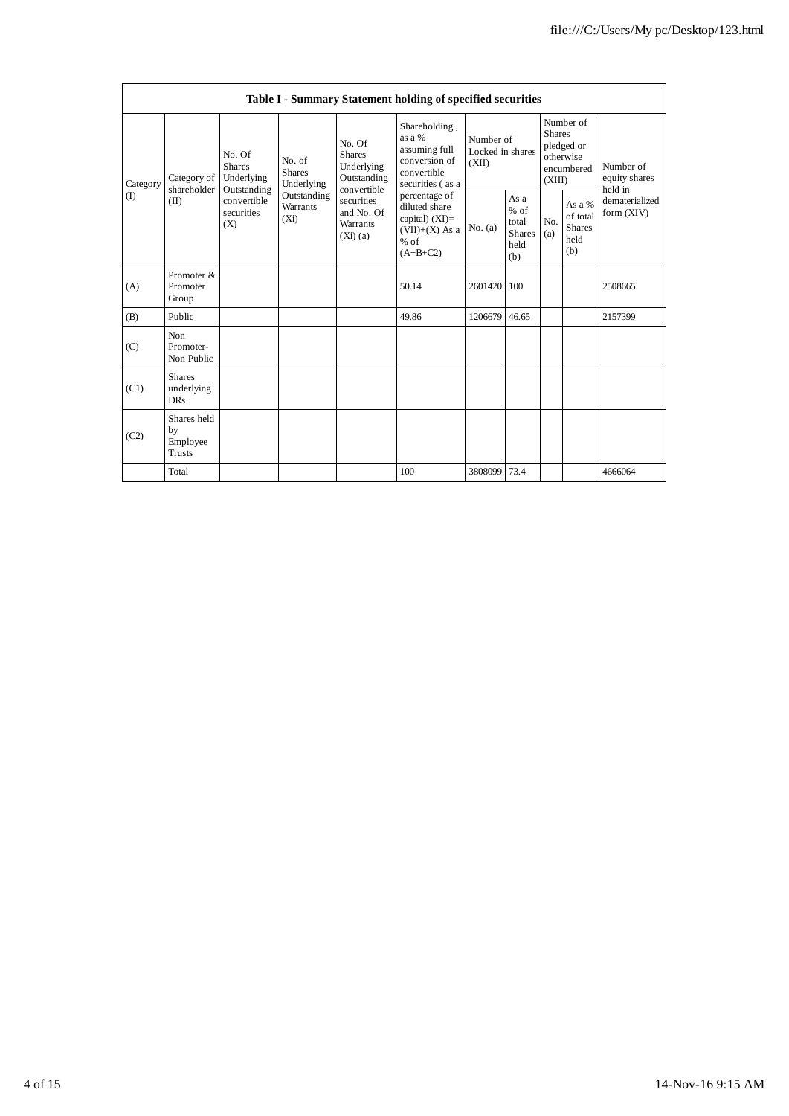| Table I - Summary Statement holding of specified securities |                                           |                                                                                                                                                          |             |                                                                                                                        |                                                                                                                                                                                                |                                        |                                                         |                                                                               |                                                    |                                       |
|-------------------------------------------------------------|-------------------------------------------|----------------------------------------------------------------------------------------------------------------------------------------------------------|-------------|------------------------------------------------------------------------------------------------------------------------|------------------------------------------------------------------------------------------------------------------------------------------------------------------------------------------------|----------------------------------------|---------------------------------------------------------|-------------------------------------------------------------------------------|----------------------------------------------------|---------------------------------------|
| Category<br>(I)                                             | Category of<br>shareholder<br>(II)        | No. Of<br>No. of<br><b>Shares</b><br><b>Shares</b><br>Underlying<br>Underlying<br>Outstanding<br>convertible<br>Warrants<br>securities<br>$(X_i)$<br>(X) |             | No. Of<br><b>Shares</b><br>Underlying<br>Outstanding<br>convertible<br>securities<br>and No. Of<br>Warrants<br>(Xi)(a) | Shareholding,<br>as a %<br>assuming full<br>conversion of<br>convertible<br>securities (as a<br>percentage of<br>diluted share<br>capital) $(XI)=$<br>$(VII)+(X)$ As a<br>$%$ of<br>$(A+B+C2)$ | Number of<br>Locked in shares<br>(XII) |                                                         | Number of<br><b>Shares</b><br>pledged or<br>otherwise<br>encumbered<br>(XIII) |                                                    | Number of<br>equity shares<br>held in |
|                                                             |                                           |                                                                                                                                                          | Outstanding |                                                                                                                        |                                                                                                                                                                                                | No. (a)                                | As a<br>$%$ of<br>total<br><b>Shares</b><br>held<br>(b) | N <sub>O</sub><br>(a)                                                         | As a %<br>of total<br><b>Shares</b><br>held<br>(b) | dematerialized<br>form (XIV)          |
| (A)                                                         | Promoter &<br>Promoter<br>Group           |                                                                                                                                                          |             |                                                                                                                        | 50.14                                                                                                                                                                                          | 2601420                                | 100                                                     |                                                                               |                                                    | 2508665                               |
| (B)                                                         | Public                                    |                                                                                                                                                          |             |                                                                                                                        | 49.86                                                                                                                                                                                          | 1206679                                | 46.65                                                   |                                                                               |                                                    | 2157399                               |
| (C)                                                         | <b>Non</b><br>Promoter-<br>Non Public     |                                                                                                                                                          |             |                                                                                                                        |                                                                                                                                                                                                |                                        |                                                         |                                                                               |                                                    |                                       |
| (C1)                                                        | <b>Shares</b><br>underlying<br><b>DRs</b> |                                                                                                                                                          |             |                                                                                                                        |                                                                                                                                                                                                |                                        |                                                         |                                                                               |                                                    |                                       |
| (C2)                                                        | Shares held<br>by<br>Employee<br>Trusts   |                                                                                                                                                          |             |                                                                                                                        |                                                                                                                                                                                                |                                        |                                                         |                                                                               |                                                    |                                       |
|                                                             | Total                                     |                                                                                                                                                          |             |                                                                                                                        | 100                                                                                                                                                                                            | 3808099 73.4                           |                                                         |                                                                               |                                                    | 4666064                               |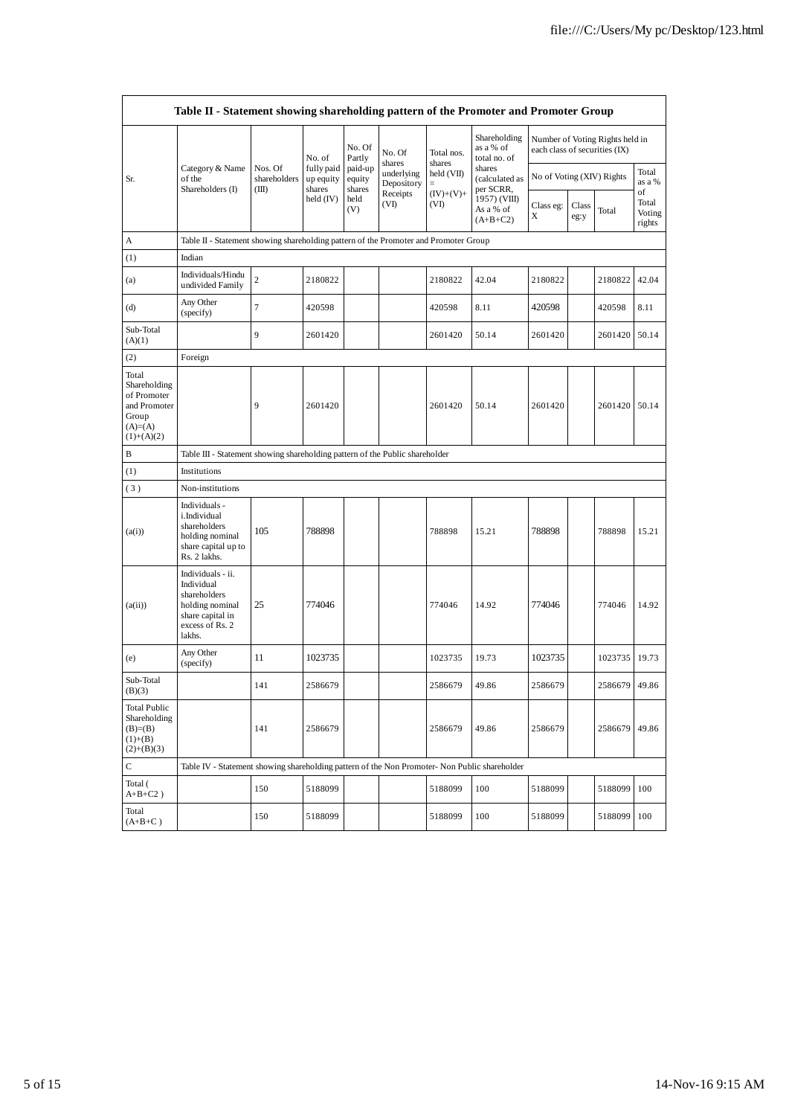|                                                                                            | Table II - Statement showing shareholding pattern of the Promoter and Promoter Group                                |                                  |                                   |                             |                                    |                      |                                           |                               |               |                                 |                                 |
|--------------------------------------------------------------------------------------------|---------------------------------------------------------------------------------------------------------------------|----------------------------------|-----------------------------------|-----------------------------|------------------------------------|----------------------|-------------------------------------------|-------------------------------|---------------|---------------------------------|---------------------------------|
|                                                                                            |                                                                                                                     |                                  | No. of                            | No. Of<br>Partly            | No. Of                             | Total nos.           | Shareholding<br>as a % of<br>total no. of | each class of securities (IX) |               | Number of Voting Rights held in |                                 |
| Sr.                                                                                        | Category & Name<br>of the<br>Shareholders (I)                                                                       | Nos. Of<br>shareholders<br>(III) | fully paid<br>up equity<br>shares | paid-up<br>equity<br>shares | shares<br>underlying<br>Depository | shares<br>held (VII) | shares<br>(calculated as<br>per SCRR,     | No of Voting (XIV) Rights     |               |                                 | Total<br>as a %                 |
|                                                                                            |                                                                                                                     |                                  | held $(IV)$                       | held<br>(V)                 | Receipts<br>(VI)                   | $(IV)+(V)+$<br>(VI)  | 1957) (VIII)<br>As a % of<br>$(A+B+C2)$   | Class eg:<br>Χ                | Class<br>eg:y | Total                           | of<br>Total<br>Voting<br>rights |
| А                                                                                          | Table II - Statement showing shareholding pattern of the Promoter and Promoter Group                                |                                  |                                   |                             |                                    |                      |                                           |                               |               |                                 |                                 |
| (1)                                                                                        | Indian                                                                                                              |                                  |                                   |                             |                                    |                      |                                           |                               |               |                                 |                                 |
| (a)                                                                                        | Individuals/Hindu<br>undivided Family                                                                               | $\,2$                            | 2180822                           |                             |                                    | 2180822              | 42.04                                     | 2180822                       |               | 2180822                         | 42.04                           |
| (d)                                                                                        | Any Other<br>(specify)                                                                                              | $\tau$                           | 420598                            |                             |                                    | 420598               | 8.11                                      | 420598                        |               | 420598                          | 8.11                            |
| Sub-Total<br>(A)(1)                                                                        |                                                                                                                     | 9                                | 2601420                           |                             |                                    | 2601420              | 50.14                                     | 2601420                       |               | 2601420 50.14                   |                                 |
| (2)                                                                                        | Foreign                                                                                                             |                                  |                                   |                             |                                    |                      |                                           |                               |               |                                 |                                 |
| Total<br>Shareholding<br>of Promoter<br>and Promoter<br>Group<br>$(A)=(A)$<br>$(1)+(A)(2)$ |                                                                                                                     | 9                                | 2601420                           |                             |                                    | 2601420              | 50.14                                     | 2601420                       |               | 2601420 50.14                   |                                 |
| В                                                                                          | Table III - Statement showing shareholding pattern of the Public shareholder                                        |                                  |                                   |                             |                                    |                      |                                           |                               |               |                                 |                                 |
| (1)                                                                                        | Institutions                                                                                                        |                                  |                                   |                             |                                    |                      |                                           |                               |               |                                 |                                 |
| (3)                                                                                        | Non-institutions                                                                                                    |                                  |                                   |                             |                                    |                      |                                           |                               |               |                                 |                                 |
| (a(i))                                                                                     | Individuals -<br>i.Individual<br>shareholders<br>holding nominal<br>share capital up to<br>Rs. 2 lakhs.             | 105                              | 788898                            |                             |                                    | 788898               | 15.21                                     | 788898                        |               | 788898                          | 15.21                           |
| (a(ii))                                                                                    | Individuals - ii.<br>Individual<br>shareholders<br>holding nominal<br>share capital in<br>excess of Rs. 2<br>lakhs. | 25                               | 774046                            |                             |                                    | 774046               | 14.92                                     | 774046                        |               | 774046                          | 14.92                           |
| (e)                                                                                        | Any Other<br>(specify)                                                                                              | 11                               | 1023735                           |                             |                                    | 1023735              | 19.73                                     | 1023735                       |               | 1023735                         | 19.73                           |
| Sub-Total<br>(B)(3)                                                                        |                                                                                                                     | 141                              | 2586679                           |                             |                                    | 2586679              | 49.86                                     | 2586679                       |               | 2586679 49.86                   |                                 |
| <b>Total Public</b><br>Shareholding<br>$(B)= (B)$<br>$(1)+(B)$<br>$(2)+(B)(3)$             |                                                                                                                     | 141                              | 2586679                           |                             |                                    | 2586679              | 49.86                                     | 2586679                       |               | 2586679 49.86                   |                                 |
| C                                                                                          | Table IV - Statement showing shareholding pattern of the Non Promoter- Non Public shareholder                       |                                  |                                   |                             |                                    |                      |                                           |                               |               |                                 |                                 |
| Total (<br>$A+B+C2$ )                                                                      |                                                                                                                     | 150                              | 5188099                           |                             |                                    | 5188099              | 100                                       | 5188099                       |               | 5188099                         | 100                             |
| Total<br>$(A+B+C)$                                                                         |                                                                                                                     | 150                              | 5188099                           |                             |                                    | 5188099              | 100                                       | 5188099                       |               | 5188099                         | 100                             |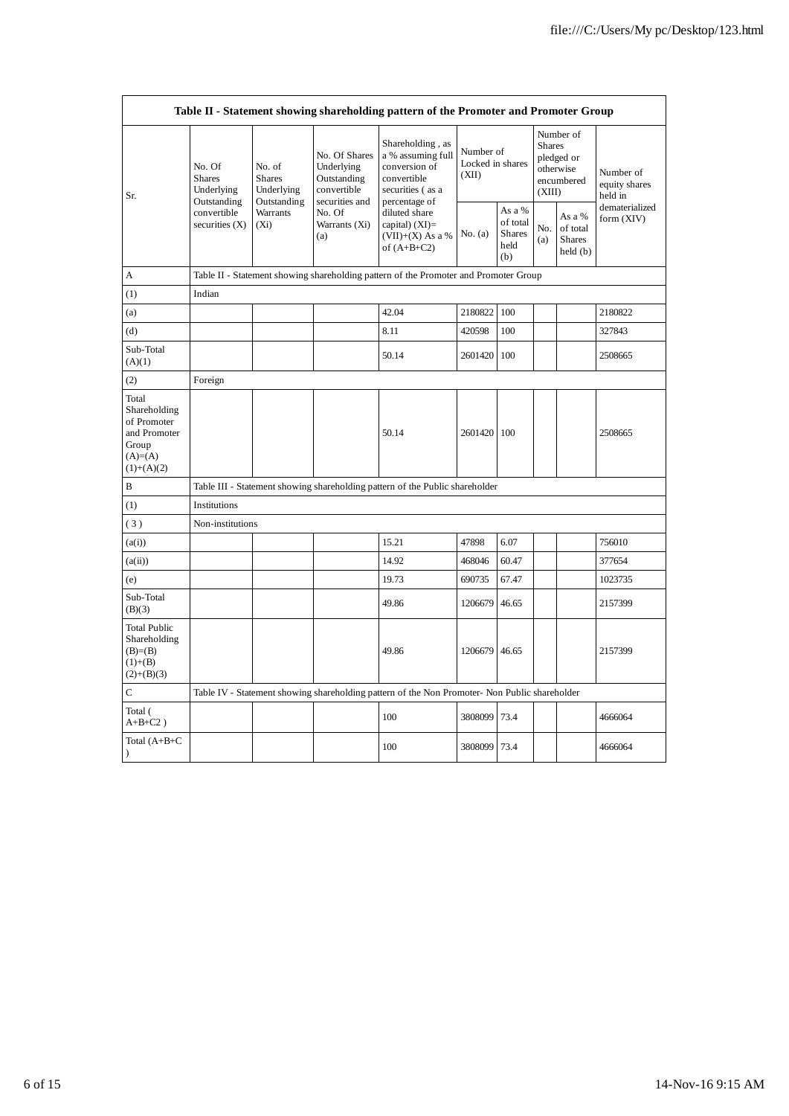| Table II - Statement showing shareholding pattern of the Promoter and Promoter Group        |                                                                                         |                                                                             |                                                           |                                                                                                                                                                                         |                                        |                                                    |                                                                               |                                                |                                       |
|---------------------------------------------------------------------------------------------|-----------------------------------------------------------------------------------------|-----------------------------------------------------------------------------|-----------------------------------------------------------|-----------------------------------------------------------------------------------------------------------------------------------------------------------------------------------------|----------------------------------------|----------------------------------------------------|-------------------------------------------------------------------------------|------------------------------------------------|---------------------------------------|
| Sr.                                                                                         | No. Of<br><b>Shares</b><br>Underlying<br>Outstanding<br>convertible<br>securities $(X)$ | No. of<br><b>Shares</b><br>Underlying<br>Outstanding<br>Warrants<br>$(X_i)$ | No. Of Shares<br>Underlying<br>Outstanding<br>convertible | Shareholding, as<br>a % assuming full<br>conversion of<br>convertible<br>securities (as a<br>percentage of<br>diluted share<br>capital) $(XI)$ =<br>$(VII)+(X)$ As a %<br>of $(A+B+C2)$ | Number of<br>Locked in shares<br>(XII) |                                                    | Number of<br><b>Shares</b><br>pledged or<br>otherwise<br>encumbered<br>(XIII) |                                                | Number of<br>equity shares<br>held in |
|                                                                                             |                                                                                         |                                                                             | securities and<br>No. Of<br>Warrants (Xi)<br>(a)          |                                                                                                                                                                                         | No. $(a)$                              | As a %<br>of total<br><b>Shares</b><br>held<br>(b) | No.<br>(a)                                                                    | As a %<br>of total<br><b>Shares</b><br>held(b) | dematerialized<br>form (XIV)          |
| А                                                                                           |                                                                                         |                                                                             |                                                           | Table II - Statement showing shareholding pattern of the Promoter and Promoter Group                                                                                                    |                                        |                                                    |                                                                               |                                                |                                       |
| (1)                                                                                         | Indian                                                                                  |                                                                             |                                                           |                                                                                                                                                                                         |                                        |                                                    |                                                                               |                                                |                                       |
| (a)                                                                                         |                                                                                         |                                                                             |                                                           | 42.04                                                                                                                                                                                   | 2180822                                | 100                                                |                                                                               |                                                | 2180822                               |
| (d)                                                                                         |                                                                                         |                                                                             |                                                           | 8.11                                                                                                                                                                                    | 420598                                 | 100                                                |                                                                               |                                                | 327843                                |
| Sub-Total<br>(A)(1)                                                                         |                                                                                         |                                                                             |                                                           | 50.14                                                                                                                                                                                   | 2601420 100                            |                                                    |                                                                               |                                                | 2508665                               |
| (2)                                                                                         | Foreign                                                                                 |                                                                             |                                                           |                                                                                                                                                                                         |                                        |                                                    |                                                                               |                                                |                                       |
| Total<br>Shareholding<br>of Promoter<br>and Promoter<br>Group<br>$(A)= (A)$<br>$(1)+(A)(2)$ |                                                                                         |                                                                             |                                                           | 50.14                                                                                                                                                                                   | 2601420 100                            |                                                    |                                                                               |                                                | 2508665                               |
| В                                                                                           |                                                                                         |                                                                             |                                                           | Table III - Statement showing shareholding pattern of the Public shareholder                                                                                                            |                                        |                                                    |                                                                               |                                                |                                       |
| (1)                                                                                         | Institutions                                                                            |                                                                             |                                                           |                                                                                                                                                                                         |                                        |                                                    |                                                                               |                                                |                                       |
| (3)                                                                                         | Non-institutions                                                                        |                                                                             |                                                           |                                                                                                                                                                                         |                                        |                                                    |                                                                               |                                                |                                       |
| (a(i))                                                                                      |                                                                                         |                                                                             |                                                           | 15.21                                                                                                                                                                                   | 47898                                  | 6.07                                               |                                                                               |                                                | 756010                                |
| (a(ii))                                                                                     |                                                                                         |                                                                             |                                                           | 14.92                                                                                                                                                                                   | 468046                                 | 60.47                                              |                                                                               |                                                | 377654                                |
| (e)                                                                                         |                                                                                         |                                                                             |                                                           | 19.73                                                                                                                                                                                   | 690735                                 | 67.47                                              |                                                                               |                                                | 1023735                               |
| Sub-Total<br>(B)(3)                                                                         |                                                                                         |                                                                             |                                                           | 49.86                                                                                                                                                                                   | 1206679                                | 46.65                                              |                                                                               |                                                | 2157399                               |
| <b>Total Public</b><br>Shareholding<br>$(B)= (B)$<br>$(1)+(B)$<br>$(2)+(B)(3)$              |                                                                                         |                                                                             |                                                           | 49.86                                                                                                                                                                                   | 1206679                                | 46.65                                              |                                                                               |                                                | 2157399                               |
| C                                                                                           |                                                                                         |                                                                             |                                                           | Table IV - Statement showing shareholding pattern of the Non Promoter- Non Public shareholder                                                                                           |                                        |                                                    |                                                                               |                                                |                                       |
| Total (<br>$A+B+C2$ )                                                                       |                                                                                         |                                                                             |                                                           | 100                                                                                                                                                                                     | 3808099                                | 73.4                                               |                                                                               |                                                | 4666064                               |
| Total $(A+B+C)$<br>$\lambda$                                                                |                                                                                         |                                                                             |                                                           | 100                                                                                                                                                                                     | 3808099                                | 73.4                                               |                                                                               |                                                | 4666064                               |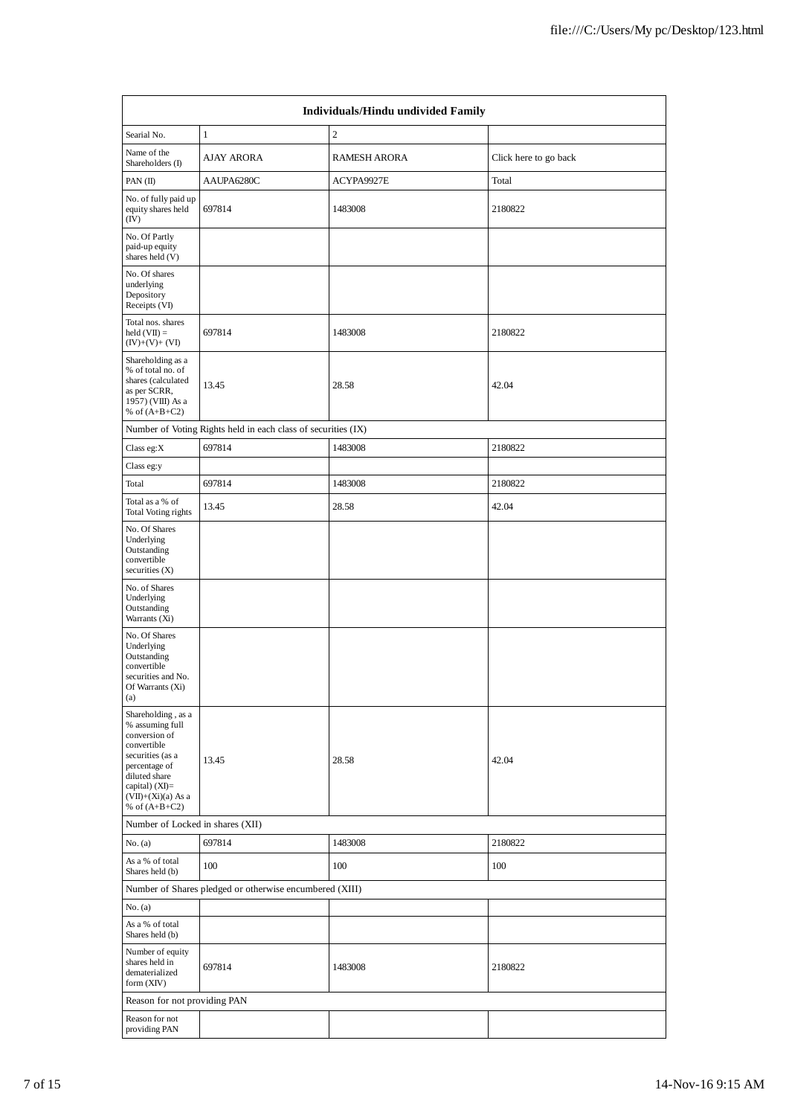| Individuals/Hindu undivided Family                                                                                                                                                       |                                                               |                     |                       |  |  |  |  |
|------------------------------------------------------------------------------------------------------------------------------------------------------------------------------------------|---------------------------------------------------------------|---------------------|-----------------------|--|--|--|--|
| Searial No.                                                                                                                                                                              | $\mathbf{1}$                                                  | $\mathfrak{2}$      |                       |  |  |  |  |
| Name of the<br>Shareholders (I)                                                                                                                                                          | AJAY ARORA                                                    | <b>RAMESH ARORA</b> | Click here to go back |  |  |  |  |
| PAN $(II)$                                                                                                                                                                               | AAUPA6280C                                                    | ACYPA9927E          | Total                 |  |  |  |  |
| No. of fully paid up<br>equity shares held<br>(IV)                                                                                                                                       | 697814                                                        | 1483008             | 2180822               |  |  |  |  |
| No. Of Partly<br>paid-up equity<br>shares held (V)                                                                                                                                       |                                                               |                     |                       |  |  |  |  |
| No. Of shares<br>underlying<br>Depository<br>Receipts (VI)                                                                                                                               |                                                               |                     |                       |  |  |  |  |
| Total nos. shares<br>held $(VII) =$<br>$(IV)+(V)+(VI)$                                                                                                                                   | 697814                                                        | 1483008             | 2180822               |  |  |  |  |
| Shareholding as a<br>% of total no. of<br>shares (calculated<br>as per SCRR,<br>1957) (VIII) As a<br>% of $(A+B+C2)$                                                                     | 13.45                                                         | 28.58               | 42.04                 |  |  |  |  |
|                                                                                                                                                                                          | Number of Voting Rights held in each class of securities (IX) |                     |                       |  |  |  |  |
| Class eg: $X$                                                                                                                                                                            | 697814                                                        | 1483008             | 2180822               |  |  |  |  |
| Class eg:y                                                                                                                                                                               |                                                               |                     |                       |  |  |  |  |
| Total                                                                                                                                                                                    | 697814                                                        | 1483008             | 2180822               |  |  |  |  |
| Total as a % of<br>Total Voting rights                                                                                                                                                   | 13.45                                                         | 28.58               | 42.04                 |  |  |  |  |
| No. Of Shares<br>Underlying<br>Outstanding<br>convertible<br>securities $(X)$                                                                                                            |                                                               |                     |                       |  |  |  |  |
| No. of Shares<br>Underlying<br>Outstanding<br>Warrants (Xi)                                                                                                                              |                                                               |                     |                       |  |  |  |  |
| No. Of Shares<br>Underlying<br>Outstanding<br>convertible<br>securities and No.<br>Of Warrants (Xi)<br>(a)                                                                               |                                                               |                     |                       |  |  |  |  |
| Shareholding, as a<br>% assuming full<br>conversion of<br>convertible<br>securities (as a<br>percentage of<br>diluted share<br>capital) (XI)=<br>$(VII)+(Xi)(a)$ As a<br>% of $(A+B+C2)$ | 13.45                                                         | 28.58               | 42.04                 |  |  |  |  |
| Number of Locked in shares (XII)                                                                                                                                                         |                                                               |                     |                       |  |  |  |  |
| No. (a)                                                                                                                                                                                  | 697814                                                        | 1483008             | 2180822               |  |  |  |  |
| As a % of total<br>Shares held (b)                                                                                                                                                       | 100                                                           | 100                 | 100                   |  |  |  |  |
|                                                                                                                                                                                          | Number of Shares pledged or otherwise encumbered (XIII)       |                     |                       |  |  |  |  |
| No. (a)                                                                                                                                                                                  |                                                               |                     |                       |  |  |  |  |
| As a % of total<br>Shares held (b)                                                                                                                                                       |                                                               |                     |                       |  |  |  |  |
| Number of equity<br>shares held in<br>dematerialized<br>form (XIV)                                                                                                                       | 697814                                                        | 1483008             | 2180822               |  |  |  |  |
| Reason for not providing PAN                                                                                                                                                             |                                                               |                     |                       |  |  |  |  |
| Reason for not<br>providing PAN                                                                                                                                                          |                                                               |                     |                       |  |  |  |  |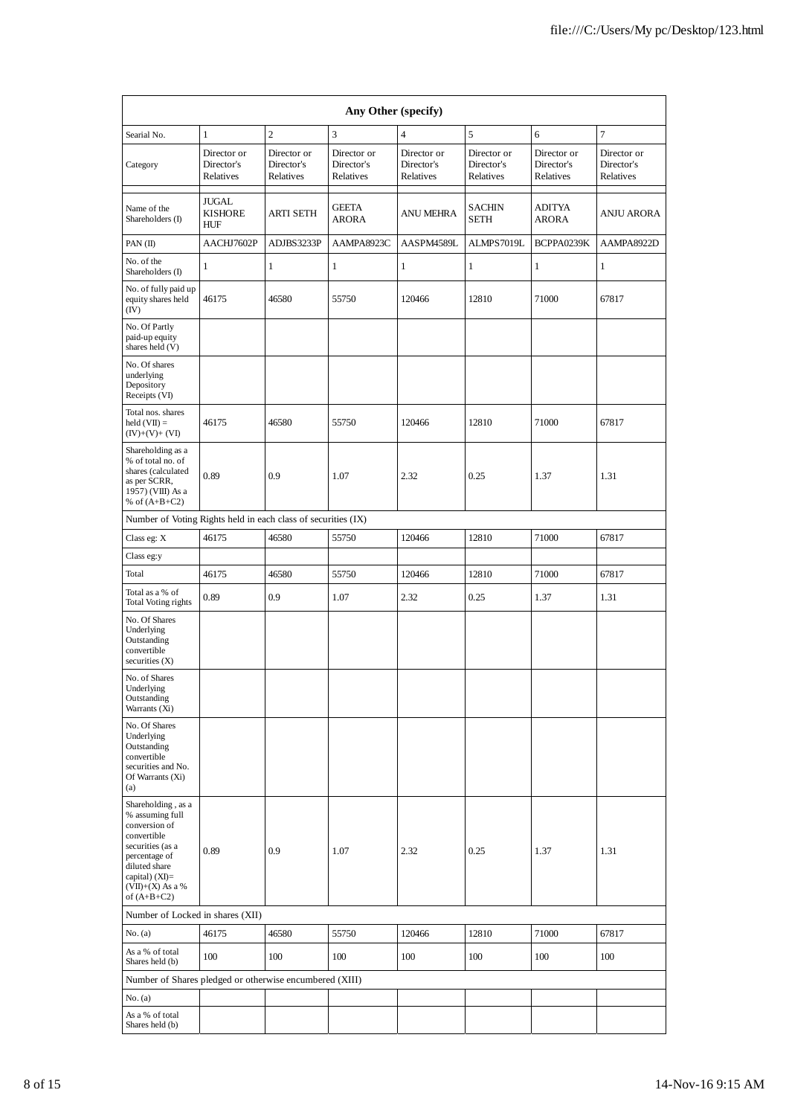| Any Other (specify)                                                                                                                                                                    |                                        |                                        |                                        |                                        |                                        |                                        |                                        |  |  |
|----------------------------------------------------------------------------------------------------------------------------------------------------------------------------------------|----------------------------------------|----------------------------------------|----------------------------------------|----------------------------------------|----------------------------------------|----------------------------------------|----------------------------------------|--|--|
| Searial No.                                                                                                                                                                            | $\mathbf{1}$                           | $\mathfrak{2}$                         | 3                                      | $\overline{4}$                         | 5                                      | 6                                      | $\tau$                                 |  |  |
| Category                                                                                                                                                                               | Director or<br>Director's<br>Relatives | Director or<br>Director's<br>Relatives | Director or<br>Director's<br>Relatives | Director or<br>Director's<br>Relatives | Director or<br>Director's<br>Relatives | Director or<br>Director's<br>Relatives | Director or<br>Director's<br>Relatives |  |  |
| Name of the<br>Shareholders (I)                                                                                                                                                        | JUGAL<br><b>KISHORE</b><br>HUF         | <b>ARTI SETH</b>                       | <b>GEETA</b><br>ARORA                  | <b>ANU MEHRA</b>                       | SACHIN<br><b>SETH</b>                  | ADITYA<br>ARORA                        | <b>ANJU ARORA</b>                      |  |  |
| PAN $(II)$                                                                                                                                                                             | AACHJ7602P                             | ADJBS3233P                             | AAMPA8923C                             | AASPM4589L                             | ALMPS7019L                             | BCPPA0239K                             | AAMPA8922D                             |  |  |
| No. of the<br>Shareholders (I)                                                                                                                                                         | 1                                      | $\mathbf{1}$                           | 1                                      | 1                                      | $\mathbf{1}$                           | $\mathbf{1}$                           | 1                                      |  |  |
| No. of fully paid up<br>equity shares held<br>(IV)                                                                                                                                     | 46175                                  | 46580                                  | 55750                                  | 120466                                 | 12810                                  | 71000                                  | 67817                                  |  |  |
| No. Of Partly<br>paid-up equity<br>shares held (V)                                                                                                                                     |                                        |                                        |                                        |                                        |                                        |                                        |                                        |  |  |
| No. Of shares<br>underlying<br>Depository<br>Receipts (VI)                                                                                                                             |                                        |                                        |                                        |                                        |                                        |                                        |                                        |  |  |
| Total nos. shares<br>$\text{held}(\text{VII}) =$<br>$(IV)+(V)+(VI)$                                                                                                                    | 46175                                  | 46580                                  | 55750                                  | 120466                                 | 12810                                  | 71000                                  | 67817                                  |  |  |
| Shareholding as a<br>% of total no. of<br>shares (calculated<br>as per SCRR,<br>1957) (VIII) As a<br>% of $(A+B+C2)$                                                                   | 0.89                                   | 0.9                                    | 1.07                                   | 2.32                                   | 0.25                                   | 1.37                                   | 1.31                                   |  |  |
| Number of Voting Rights held in each class of securities (IX)                                                                                                                          |                                        |                                        |                                        |                                        |                                        |                                        |                                        |  |  |
| Class eg: X                                                                                                                                                                            | 46175                                  | 46580                                  | 55750                                  | 120466                                 | 12810                                  | 71000                                  | 67817                                  |  |  |
| Class eg:y                                                                                                                                                                             |                                        |                                        |                                        |                                        |                                        |                                        |                                        |  |  |
| Total                                                                                                                                                                                  | 46175                                  | 46580                                  | 55750                                  | 120466                                 | 12810                                  | 71000                                  | 67817                                  |  |  |
| Total as a % of<br>Total Voting rights                                                                                                                                                 | 0.89                                   | 0.9                                    | 1.07                                   | 2.32                                   | 0.25                                   | 1.37                                   | 1.31                                   |  |  |
| No. Of Shares<br>Underlying<br>Outstanding<br>convertible<br>securities $(X)$                                                                                                          |                                        |                                        |                                        |                                        |                                        |                                        |                                        |  |  |
| No. of Shares<br>Underlying<br>Outstanding<br>Warrants (Xi)                                                                                                                            |                                        |                                        |                                        |                                        |                                        |                                        |                                        |  |  |
| No. Of Shares<br>Underlying<br>Outstanding<br>convertible<br>securities and No.<br>Of Warrants (Xi)<br>(a)                                                                             |                                        |                                        |                                        |                                        |                                        |                                        |                                        |  |  |
| Shareholding, as a<br>% assuming full<br>conversion of<br>convertible<br>securities (as a<br>percentage of<br>diluted share<br>capital) $(XI)=$<br>$(VII)+(X)$ As a %<br>of $(A+B+C2)$ | 0.89                                   | 0.9                                    | 1.07                                   | 2.32                                   | 0.25                                   | 1.37                                   | 1.31                                   |  |  |
| Number of Locked in shares (XII)                                                                                                                                                       |                                        |                                        |                                        |                                        |                                        |                                        |                                        |  |  |
| No. (a)                                                                                                                                                                                | 46175                                  | 46580                                  | 55750                                  | 120466                                 | 12810                                  | 71000                                  | 67817                                  |  |  |
| As a % of total<br>Shares held (b)                                                                                                                                                     | 100                                    | 100                                    | 100                                    | 100                                    | 100                                    | 100                                    | 100                                    |  |  |
| Number of Shares pledged or otherwise encumbered (XIII)                                                                                                                                |                                        |                                        |                                        |                                        |                                        |                                        |                                        |  |  |
| No. (a)                                                                                                                                                                                |                                        |                                        |                                        |                                        |                                        |                                        |                                        |  |  |
| As a % of total<br>Shares held (b)                                                                                                                                                     |                                        |                                        |                                        |                                        |                                        |                                        |                                        |  |  |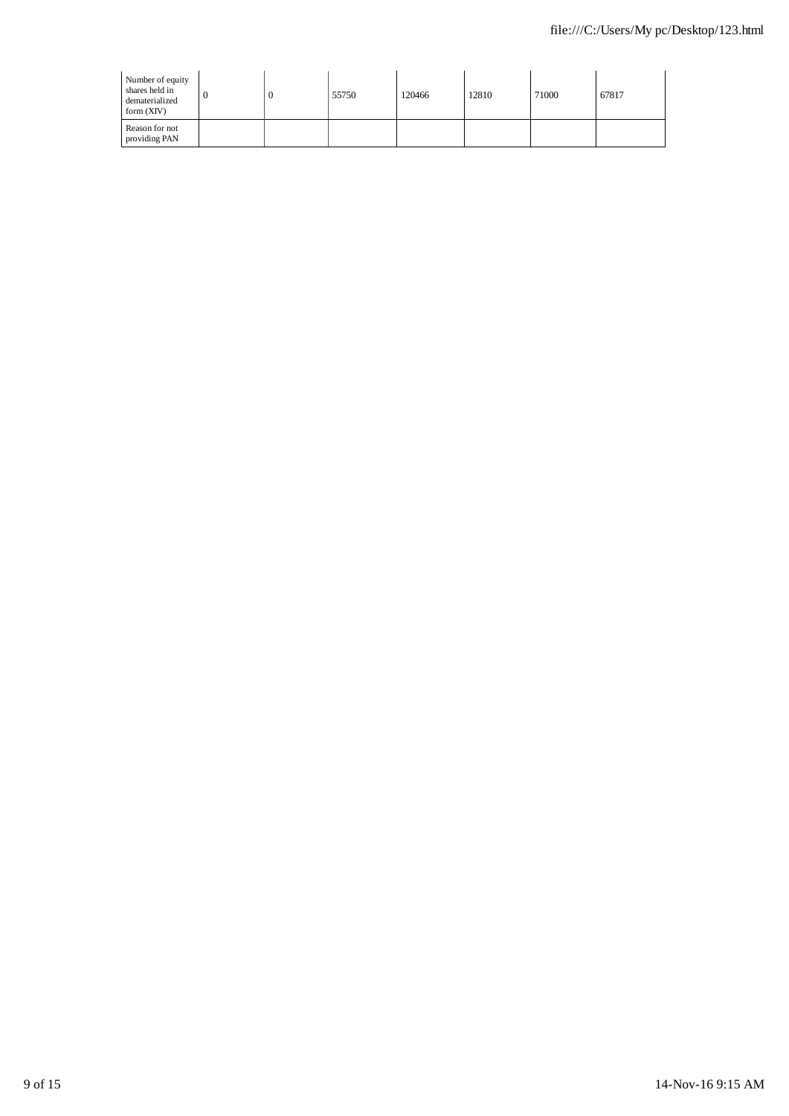| Number of equity<br>shares held in<br>dematerialized<br>form $(XIV)$ |  | 55750 | 120466 | 12810 | 71000 | 67817 |
|----------------------------------------------------------------------|--|-------|--------|-------|-------|-------|
| Reason for not<br>providing PAN                                      |  |       |        |       |       |       |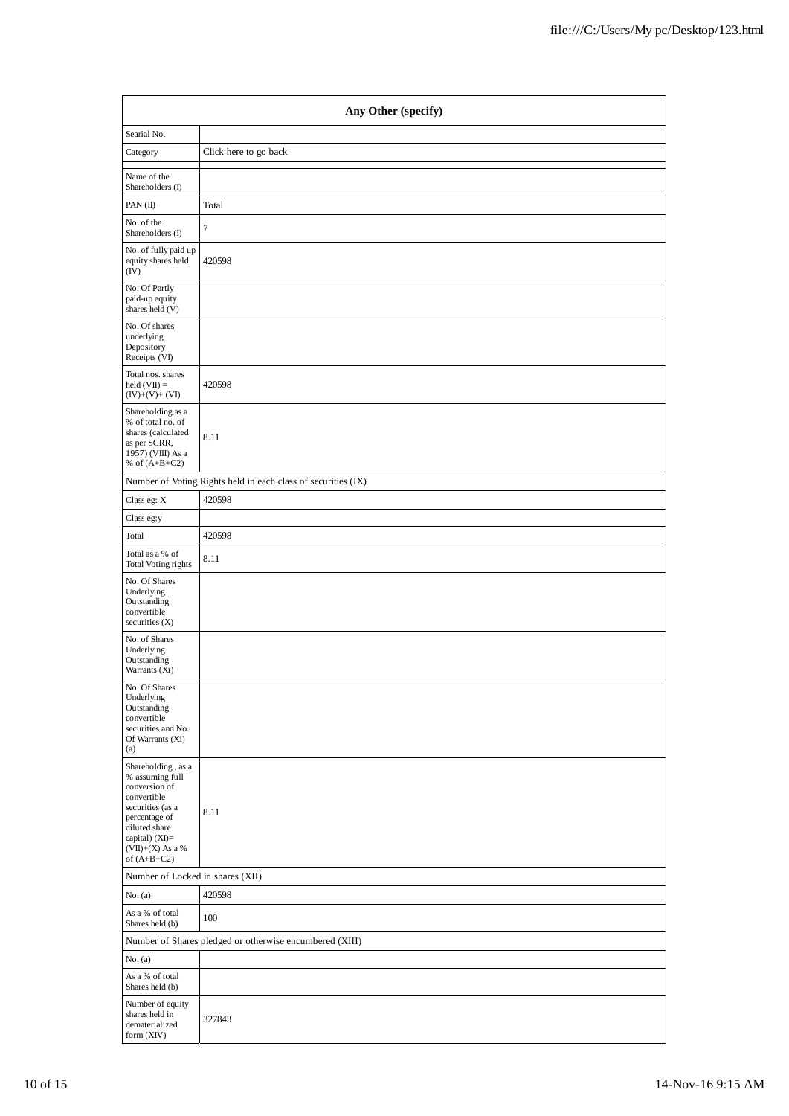|                                                                                                                                                                                      | Any Other (specify)                                           |  |  |  |  |  |  |
|--------------------------------------------------------------------------------------------------------------------------------------------------------------------------------------|---------------------------------------------------------------|--|--|--|--|--|--|
| Searial No.                                                                                                                                                                          |                                                               |  |  |  |  |  |  |
| Category                                                                                                                                                                             | Click here to go back                                         |  |  |  |  |  |  |
| Name of the<br>Shareholders (I)                                                                                                                                                      |                                                               |  |  |  |  |  |  |
| PAN (II)                                                                                                                                                                             | Total                                                         |  |  |  |  |  |  |
| No. of the<br>Shareholders (I)                                                                                                                                                       | $\tau$                                                        |  |  |  |  |  |  |
| No. of fully paid up<br>equity shares held<br>(IV)                                                                                                                                   | 420598                                                        |  |  |  |  |  |  |
| No. Of Partly<br>paid-up equity<br>shares held (V)                                                                                                                                   |                                                               |  |  |  |  |  |  |
| No. Of shares<br>underlying<br>Depository<br>Receipts (VI)                                                                                                                           |                                                               |  |  |  |  |  |  |
| Total nos. shares<br>$held (VII) =$<br>$(IV)+(V)+(VI)$                                                                                                                               | 420598                                                        |  |  |  |  |  |  |
| Shareholding as a<br>% of total no. of<br>shares (calculated<br>as per SCRR,<br>1957) (VIII) As a<br>% of $(A+B+C2)$                                                                 | 8.11                                                          |  |  |  |  |  |  |
|                                                                                                                                                                                      | Number of Voting Rights held in each class of securities (IX) |  |  |  |  |  |  |
| Class eg: X                                                                                                                                                                          | 420598                                                        |  |  |  |  |  |  |
| Class eg:y                                                                                                                                                                           |                                                               |  |  |  |  |  |  |
| Total                                                                                                                                                                                | 420598                                                        |  |  |  |  |  |  |
| Total as a % of<br><b>Total Voting rights</b>                                                                                                                                        | 8.11                                                          |  |  |  |  |  |  |
| No. Of Shares<br>Underlying<br>Outstanding<br>convertible<br>securities (X)                                                                                                          |                                                               |  |  |  |  |  |  |
| No. of Shares<br>Underlying<br>Outstanding<br>Warrants (Xi)                                                                                                                          |                                                               |  |  |  |  |  |  |
| No. Of Shares<br>Underlying<br>Outstanding<br>convertible<br>securities and No.<br>Of Warrants (Xi)<br>(a)                                                                           |                                                               |  |  |  |  |  |  |
| Shareholding, as a<br>% assuming full<br>conversion of<br>convertible<br>securities (as a<br>percentage of<br>diluted share<br>capital) (XI)=<br>$(VII)+(X)$ As a %<br>of $(A+B+C2)$ | 8.11                                                          |  |  |  |  |  |  |
| Number of Locked in shares (XII)                                                                                                                                                     |                                                               |  |  |  |  |  |  |
| No. (a)                                                                                                                                                                              | 420598                                                        |  |  |  |  |  |  |
| As a % of total<br>Shares held (b)                                                                                                                                                   | 100                                                           |  |  |  |  |  |  |
|                                                                                                                                                                                      | Number of Shares pledged or otherwise encumbered (XIII)       |  |  |  |  |  |  |
| No. (a)                                                                                                                                                                              |                                                               |  |  |  |  |  |  |
| As a % of total<br>Shares held (b)                                                                                                                                                   |                                                               |  |  |  |  |  |  |
| Number of equity<br>shares held in<br>dematerialized<br>form (XIV)                                                                                                                   | 327843                                                        |  |  |  |  |  |  |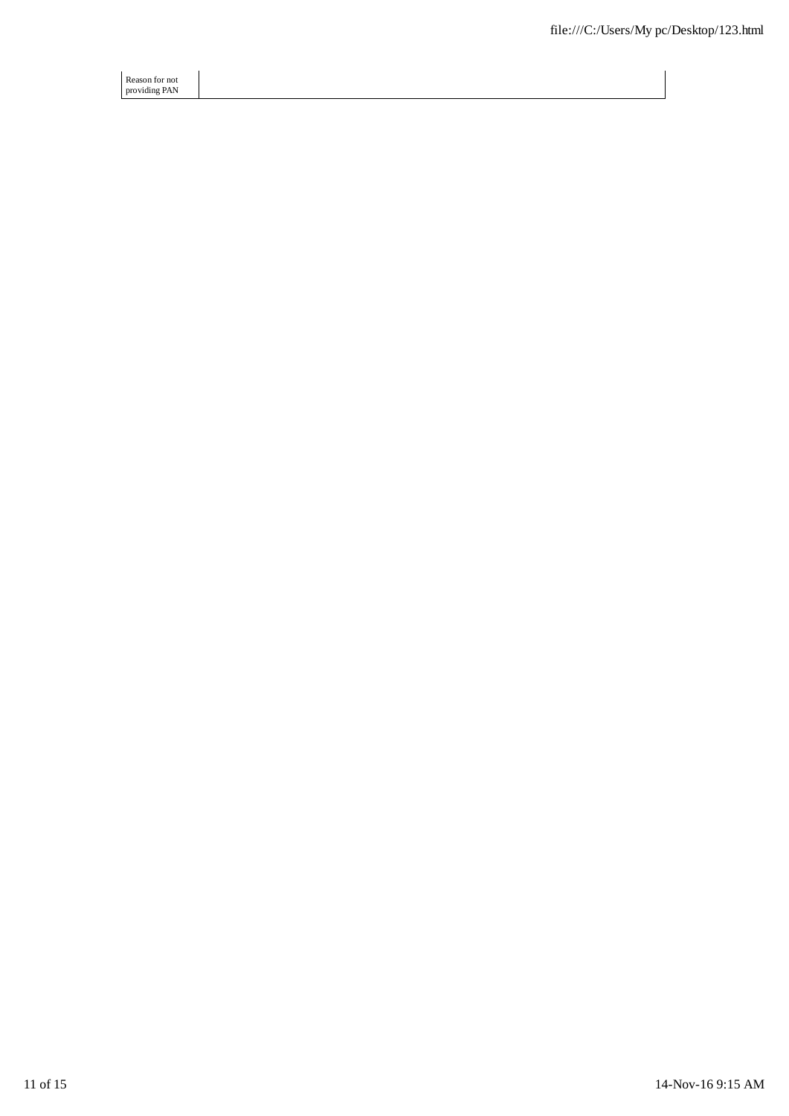Reason for not providing PAN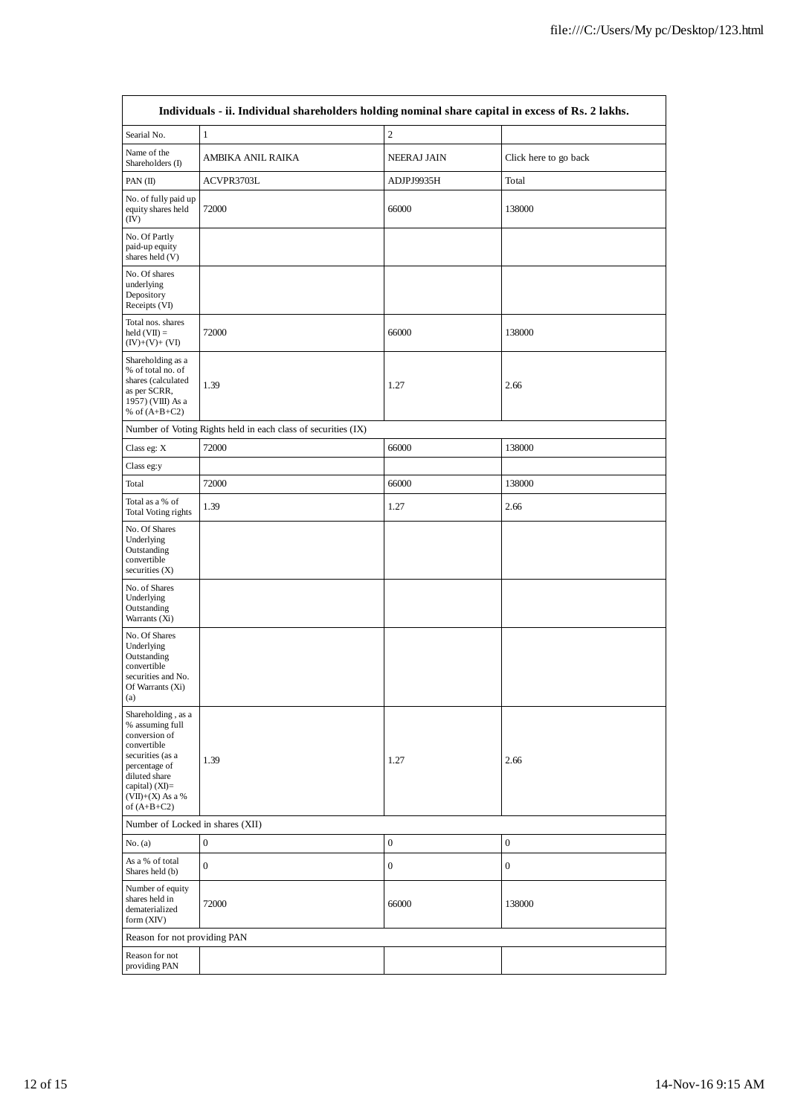|                                                                                                                                                                                        | Individuals - ii. Individual shareholders holding nominal share capital in excess of Rs. 2 lakhs. |                    |                       |  |  |  |  |  |  |  |
|----------------------------------------------------------------------------------------------------------------------------------------------------------------------------------------|---------------------------------------------------------------------------------------------------|--------------------|-----------------------|--|--|--|--|--|--|--|
| Searial No.                                                                                                                                                                            | $\mathbf{1}$                                                                                      | $\overline{c}$     |                       |  |  |  |  |  |  |  |
| Name of the<br>Shareholders (I)                                                                                                                                                        | AMBIKA ANIL RAIKA                                                                                 | <b>NEERAJ JAIN</b> | Click here to go back |  |  |  |  |  |  |  |
| PAN $(II)$                                                                                                                                                                             | ACVPR3703L                                                                                        | ADJPJ9935H         | Total                 |  |  |  |  |  |  |  |
| No. of fully paid up<br>equity shares held<br>(IV)                                                                                                                                     | 72000                                                                                             | 66000              | 138000                |  |  |  |  |  |  |  |
| No. Of Partly<br>paid-up equity<br>shares held (V)                                                                                                                                     |                                                                                                   |                    |                       |  |  |  |  |  |  |  |
| No. Of shares<br>underlying<br>Depository<br>Receipts (VI)                                                                                                                             |                                                                                                   |                    |                       |  |  |  |  |  |  |  |
| Total nos. shares<br>$held (VII) =$<br>$(IV)+(V)+(VI)$                                                                                                                                 | 72000                                                                                             | 66000              | 138000                |  |  |  |  |  |  |  |
| Shareholding as a<br>% of total no. of<br>shares (calculated<br>as per SCRR,<br>1957) (VIII) As a<br>% of $(A+B+C2)$                                                                   | 1.39                                                                                              | 1.27               | 2.66                  |  |  |  |  |  |  |  |
|                                                                                                                                                                                        | Number of Voting Rights held in each class of securities (IX)                                     |                    |                       |  |  |  |  |  |  |  |
| Class eg: X                                                                                                                                                                            | 72000                                                                                             | 66000              | 138000                |  |  |  |  |  |  |  |
| Class eg:y                                                                                                                                                                             |                                                                                                   |                    |                       |  |  |  |  |  |  |  |
| Total                                                                                                                                                                                  | 72000                                                                                             | 66000              | 138000                |  |  |  |  |  |  |  |
| Total as a % of<br>Total Voting rights                                                                                                                                                 | 1.39                                                                                              | 1.27               | 2.66                  |  |  |  |  |  |  |  |
| No. Of Shares<br>Underlying<br>Outstanding<br>convertible<br>securities $(X)$                                                                                                          |                                                                                                   |                    |                       |  |  |  |  |  |  |  |
| No. of Shares<br>Underlying<br>Outstanding<br>Warrants (Xi)                                                                                                                            |                                                                                                   |                    |                       |  |  |  |  |  |  |  |
| No. Of Shares<br>Underlying<br>Outstanding<br>convertible<br>securities and No.<br>Of Warrants (Xi)<br>(a)                                                                             |                                                                                                   |                    |                       |  |  |  |  |  |  |  |
| Shareholding, as a<br>% assuming full<br>conversion of<br>convertible<br>securities (as a<br>percentage of<br>diluted share<br>capital) $(XI)=$<br>$(VII)+(X)$ As a %<br>of $(A+B+C2)$ | 1.39                                                                                              | 1.27               | 2.66                  |  |  |  |  |  |  |  |
| Number of Locked in shares (XII)                                                                                                                                                       |                                                                                                   |                    |                       |  |  |  |  |  |  |  |
| No. (a)                                                                                                                                                                                | $\boldsymbol{0}$                                                                                  | $\boldsymbol{0}$   | $\boldsymbol{0}$      |  |  |  |  |  |  |  |
| As a % of total<br>Shares held (b)                                                                                                                                                     | $\boldsymbol{0}$                                                                                  | $\boldsymbol{0}$   | $\boldsymbol{0}$      |  |  |  |  |  |  |  |
| Number of equity<br>shares held in<br>dematerialized<br>form (XIV)                                                                                                                     | 72000                                                                                             | 66000              | 138000                |  |  |  |  |  |  |  |
| Reason for not providing PAN                                                                                                                                                           |                                                                                                   |                    |                       |  |  |  |  |  |  |  |
| Reason for not<br>providing PAN                                                                                                                                                        |                                                                                                   |                    |                       |  |  |  |  |  |  |  |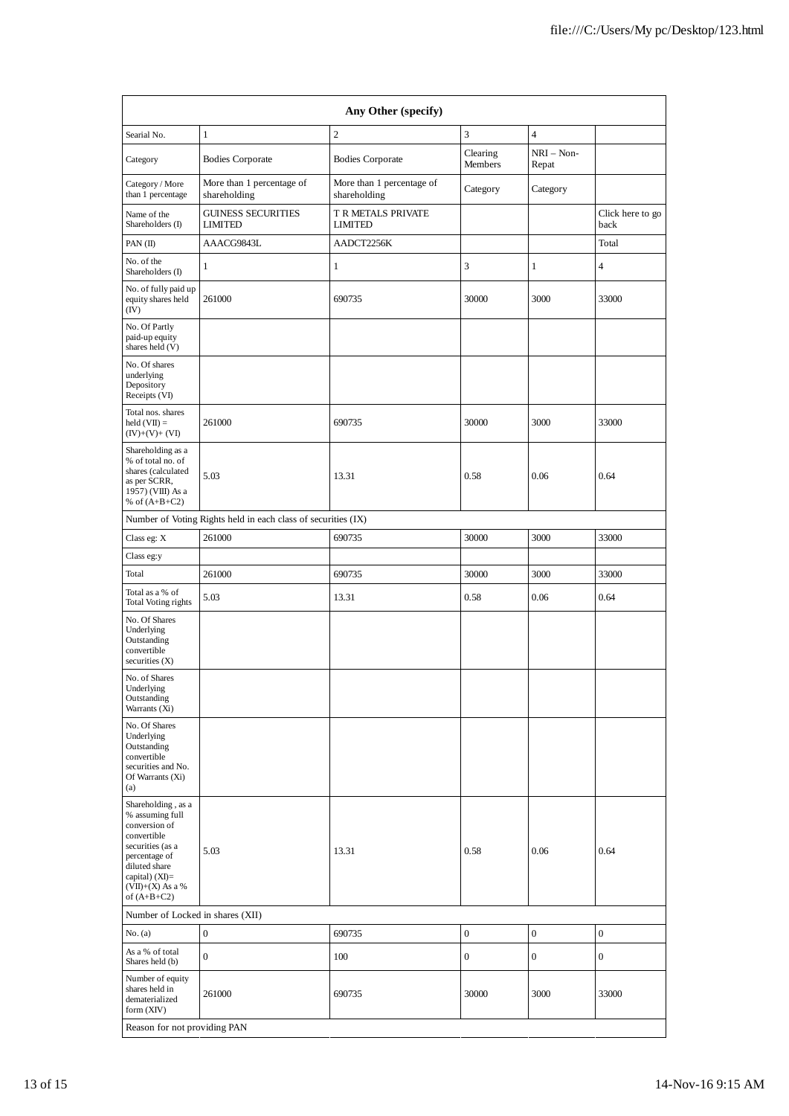| Any Other (specify)                                                                                                                                                                  |                                             |                                           |                     |                       |                          |  |  |  |  |
|--------------------------------------------------------------------------------------------------------------------------------------------------------------------------------------|---------------------------------------------|-------------------------------------------|---------------------|-----------------------|--------------------------|--|--|--|--|
| Searial No.                                                                                                                                                                          | $\mathbf{1}$                                | $\overline{c}$                            | 3                   | $\overline{4}$        |                          |  |  |  |  |
| Category                                                                                                                                                                             | <b>Bodies Corporate</b>                     | <b>Bodies Corporate</b>                   | Clearing<br>Members | $NRI - Non-$<br>Repat |                          |  |  |  |  |
| Category / More<br>than 1 percentage                                                                                                                                                 | More than 1 percentage of<br>shareholding   | More than 1 percentage of<br>shareholding | Category            | Category              |                          |  |  |  |  |
| Name of the<br>Shareholders (I)                                                                                                                                                      | <b>GUINESS SECURITIES</b><br><b>LIMITED</b> | T R METALS PRIVATE<br><b>LIMITED</b>      |                     |                       | Click here to go<br>back |  |  |  |  |
| PAN (II)                                                                                                                                                                             | AAACG9843L                                  | AADCT2256K                                |                     |                       | Total                    |  |  |  |  |
| No. of the<br>Shareholders (I)                                                                                                                                                       | $\mathbf{1}$                                | 1                                         | 3                   | 1                     | 4                        |  |  |  |  |
| No. of fully paid up<br>equity shares held<br>(IV)                                                                                                                                   | 261000                                      | 690735                                    | 30000               | 3000                  | 33000                    |  |  |  |  |
| No. Of Partly<br>paid-up equity<br>shares held (V)                                                                                                                                   |                                             |                                           |                     |                       |                          |  |  |  |  |
| No. Of shares<br>underlying<br>Depository<br>Receipts (VI)                                                                                                                           |                                             |                                           |                     |                       |                          |  |  |  |  |
| Total nos. shares<br>$\text{held}(\text{VII}) =$<br>$(IV)+(V)+(VI)$                                                                                                                  | 261000                                      | 690735                                    | 30000               | 3000                  | 33000                    |  |  |  |  |
| Shareholding as a<br>% of total no. of<br>shares (calculated<br>as per SCRR,<br>1957) (VIII) As a<br>% of $(A+B+C2)$                                                                 | 5.03                                        | 13.31                                     | 0.58                | 0.06                  | 0.64                     |  |  |  |  |
| Number of Voting Rights held in each class of securities (IX)                                                                                                                        |                                             |                                           |                     |                       |                          |  |  |  |  |
| Class eg: X                                                                                                                                                                          | 261000                                      | 690735                                    | 30000               | 3000                  | 33000                    |  |  |  |  |
| Class eg:y                                                                                                                                                                           |                                             |                                           |                     |                       |                          |  |  |  |  |
| Total                                                                                                                                                                                | 261000                                      | 690735                                    | 30000               | 3000                  | 33000                    |  |  |  |  |
| Total as a % of<br>Total Voting rights                                                                                                                                               | 5.03                                        | 13.31                                     | 0.58                | 0.06                  | 0.64                     |  |  |  |  |
| No. Of Shares<br>Underlying<br>Outstanding<br>convertible<br>securities (X)                                                                                                          |                                             |                                           |                     |                       |                          |  |  |  |  |
| No. of Shares<br>Underlying<br>Outstanding<br>Warrants (Xi)                                                                                                                          |                                             |                                           |                     |                       |                          |  |  |  |  |
| No. Of Shares<br>Underlying<br>Outstanding<br>convertible<br>securities and No.<br>Of Warrants (Xi)<br>(a)                                                                           |                                             |                                           |                     |                       |                          |  |  |  |  |
| Shareholding, as a<br>% assuming full<br>conversion of<br>convertible<br>securities (as a<br>percentage of<br>diluted share<br>capital) (XI)=<br>$(VII)+(X)$ As a %<br>of $(A+B+C2)$ | 5.03                                        | 13.31                                     | 0.58                | 0.06                  | 0.64                     |  |  |  |  |
| Number of Locked in shares (XII)                                                                                                                                                     |                                             |                                           |                     |                       |                          |  |  |  |  |
| No. (a)                                                                                                                                                                              | $\boldsymbol{0}$                            | 690735                                    | $\boldsymbol{0}$    | $\boldsymbol{0}$      | $\boldsymbol{0}$         |  |  |  |  |
| As a % of total<br>Shares held (b)                                                                                                                                                   | $\boldsymbol{0}$                            | 100                                       | $\boldsymbol{0}$    | $\mathbf{0}$          | $\boldsymbol{0}$         |  |  |  |  |
| Number of equity<br>shares held in<br>dematerialized<br>form (XIV)                                                                                                                   | 261000                                      | 690735                                    | 30000               | 3000                  | 33000                    |  |  |  |  |
| Reason for not providing PAN                                                                                                                                                         |                                             |                                           |                     |                       |                          |  |  |  |  |